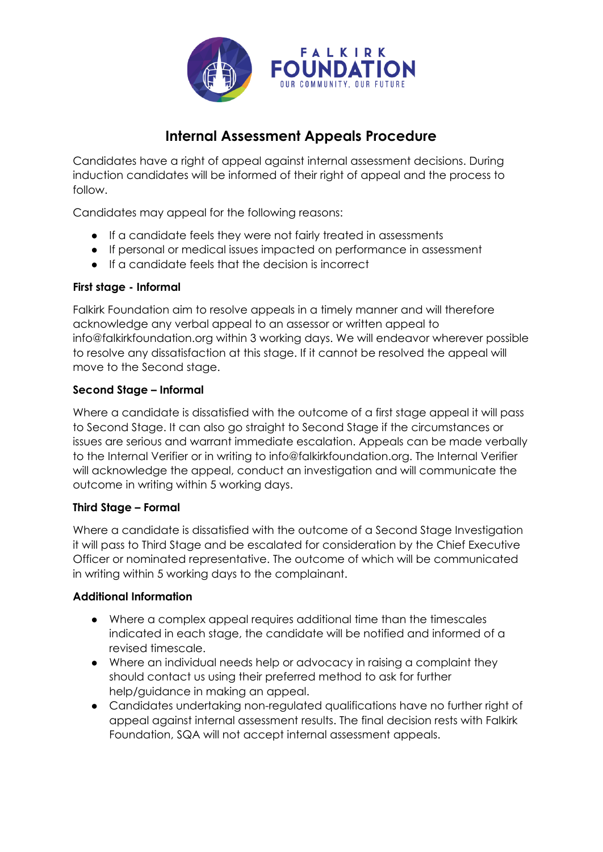

# **Internal Assessment Appeals Procedure**

Candidates have a right of appeal against internal assessment decisions. During induction candidates will be informed of their right of appeal and the process to follow.

Candidates may appeal for the following reasons:

- If a candidate feels they were not fairly treated in assessments
- If personal or medical issues impacted on performance in assessment
- If a candidate feels that the decision is incorrect

### **First stage - Informal**

Falkirk Foundation aim to resolve appeals in a timely manner and will therefore acknowledge any verbal appeal to an assessor or written appeal to info@falkirkfoundation.org within 3 working days. We will endeavor wherever possible to resolve any dissatisfaction at this stage. If it cannot be resolved the appeal will move to the Second stage.

# **Second Stage – Informal**

Where a candidate is dissatisfied with the outcome of a first stage appeal it will pass to Second Stage. It can also go straight to Second Stage if the circumstances or issues are serious and warrant immediate escalation. Appeals can be made verbally to the Internal Verifier or in writing to info@falkirkfoundation.org. The Internal Verifier will acknowledge the appeal, conduct an investigation and will communicate the outcome in writing within 5 working days.

### **Third Stage – Formal**

Where a candidate is dissatisfied with the outcome of a Second Stage Investigation it will pass to Third Stage and be escalated for consideration by the Chief Executive Officer or nominated representative. The outcome of which will be communicated in writing within 5 working days to the complainant.

### **Additional Information**

- Where a complex appeal requires additional time than the timescales indicated in each stage, the candidate will be notified and informed of a revised timescale.
- Where an individual needs help or advocacy in raising a complaint they should contact us using their preferred method to ask for further help/guidance in making an appeal.
- Candidates undertaking non-regulated qualifications have no further right of appeal against internal assessment results. The final decision rests with Falkirk Foundation, SQA will not accept internal assessment appeals.